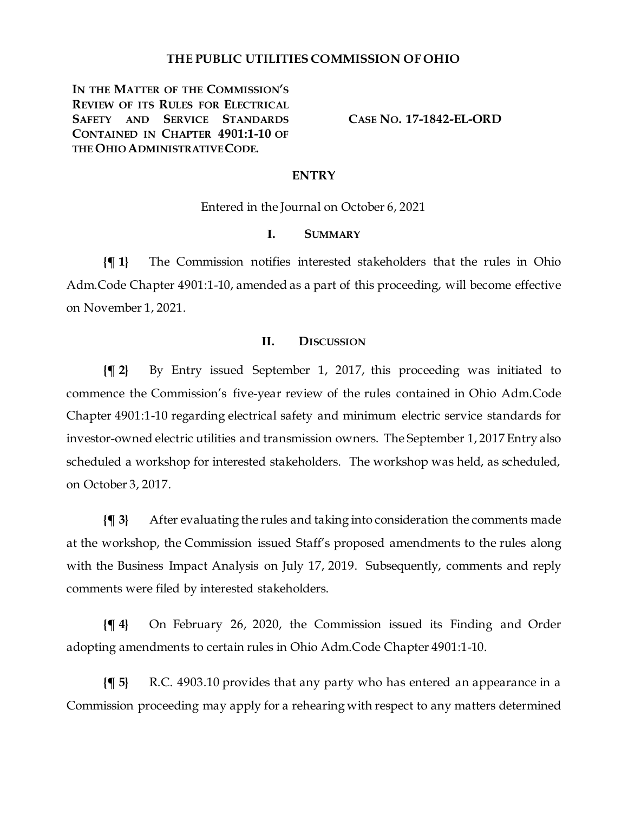## **THE PUBLIC UTILITIES COMMISSION OF OHIO**

**IN THE MATTER OF THE COMMISSION'S REVIEW OF ITS RULES FOR ELECTRICAL SAFETY AND SERVICE STANDARDS CONTAINED IN CHAPTER 4901:1-10 OF THE OHIO ADMINISTRATIVE CODE.**

**CASE NO. 17-1842-EL-ORD**

## **ENTRY**

Entered in the Journal on October 6, 2021

# **I. SUMMARY**

**{¶ 1}** The Commission notifies interested stakeholders that the rules in Ohio Adm.Code Chapter 4901:1-10, amended as a part of this proceeding, will become effective on November 1, 2021.

### **II. DISCUSSION**

**{¶ 2}** By Entry issued September 1, 2017, this proceeding was initiated to commence the Commission's five-year review of the rules contained in Ohio Adm.Code Chapter 4901:1-10 regarding electrical safety and minimum electric service standards for investor-owned electric utilities and transmission owners. The September 1, 2017 Entry also scheduled a workshop for interested stakeholders. The workshop was held, as scheduled, on October 3, 2017.

**{¶ 3}** After evaluating the rules and taking into consideration the comments made at the workshop, the Commission issued Staff's proposed amendments to the rules along with the Business Impact Analysis on July 17, 2019. Subsequently, comments and reply comments were filed by interested stakeholders.

**{¶ 4}** On February 26, 2020, the Commission issued its Finding and Order adopting amendments to certain rules in Ohio Adm.Code Chapter 4901:1-10.

**{¶ 5}** R.C. 4903.10 provides that any party who has entered an appearance in a Commission proceeding may apply for a rehearing with respect to any matters determined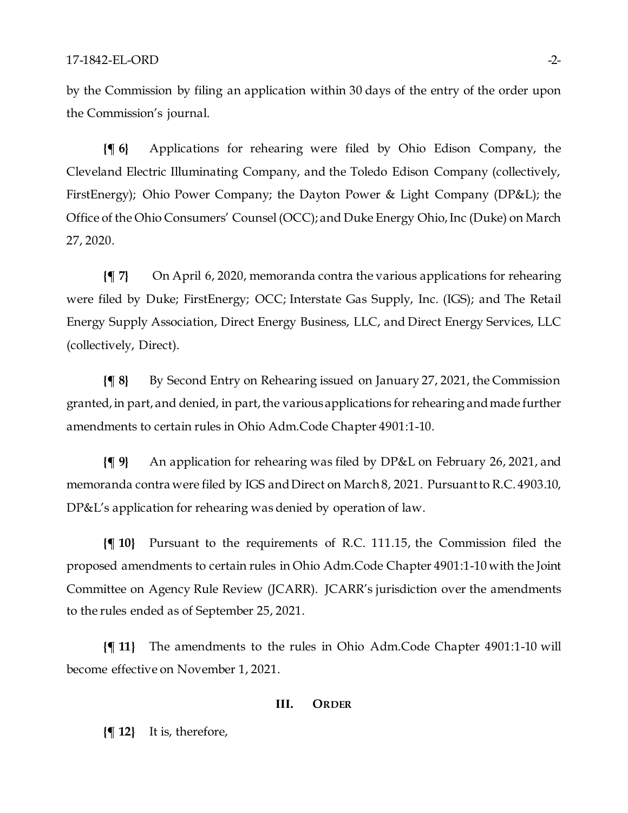by the Commission by filing an application within 30 days of the entry of the order upon the Commission's journal.

**{¶ 6}** Applications for rehearing were filed by Ohio Edison Company, the Cleveland Electric Illuminating Company, and the Toledo Edison Company (collectively, FirstEnergy); Ohio Power Company; the Dayton Power & Light Company (DP&L); the Office of the Ohio Consumers' Counsel (OCC); and Duke Energy Ohio, Inc (Duke) on March 27, 2020.

**{¶ 7}** On April 6, 2020, memoranda contra the various applications for rehearing were filed by Duke; FirstEnergy; OCC; Interstate Gas Supply, Inc. (IGS); and The Retail Energy Supply Association, Direct Energy Business, LLC, and Direct Energy Services, LLC (collectively, Direct).

**{¶ 8}** By Second Entry on Rehearing issued on January 27, 2021, the Commission granted, in part, and denied, in part, the various applications for rehearing and made further amendments to certain rules in Ohio Adm.Code Chapter 4901:1-10.

**{¶ 9}** An application for rehearing was filed by DP&L on February 26, 2021, and memoranda contra were filed by IGS and Direct on March 8, 2021. Pursuant to R.C. 4903.10, DP&L's application for rehearing was denied by operation of law.

**{¶ 10}** Pursuant to the requirements of R.C. 111.15, the Commission filed the proposed amendments to certain rules in Ohio Adm.Code Chapter 4901:1-10 with the Joint Committee on Agency Rule Review (JCARR). JCARR's jurisdiction over the amendments to the rules ended as of September 25, 2021.

**{¶ 11}** The amendments to the rules in Ohio Adm.Code Chapter 4901:1-10 will become effective on November 1, 2021.

#### **III. ORDER**

**{¶ 12}** It is, therefore,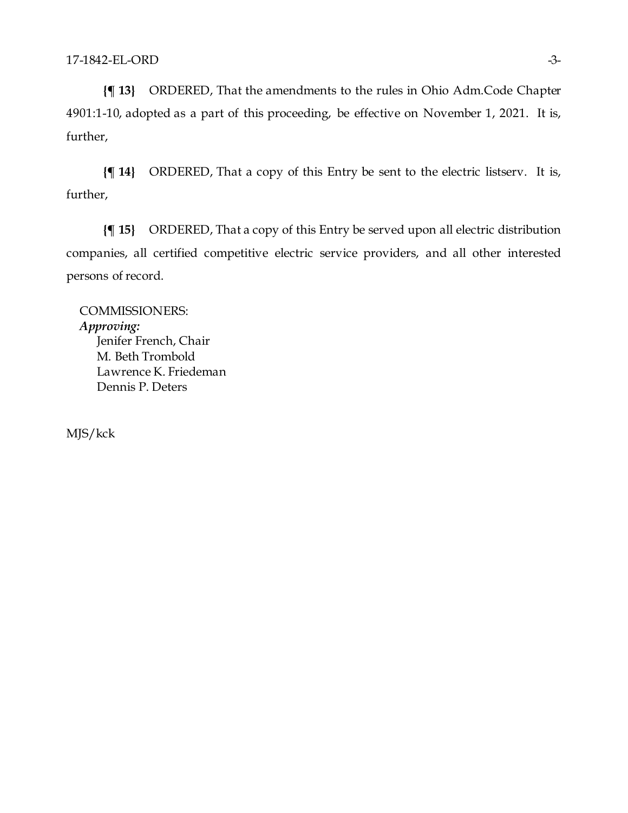**{¶ 13}** ORDERED, That the amendments to the rules in Ohio Adm.Code Chapter 4901:1-10, adopted as a part of this proceeding, be effective on November 1, 2021. It is, further,

**{¶ 14}** ORDERED, That a copy of this Entry be sent to the electric listserv. It is, further,

**{¶ 15}** ORDERED, That a copy of this Entry be served upon all electric distribution companies, all certified competitive electric service providers, and all other interested persons of record.

COMMISSIONERS: *Approving:*  Jenifer French, Chair M. Beth Trombold Lawrence K. Friedeman Dennis P. Deters

MJS/kck